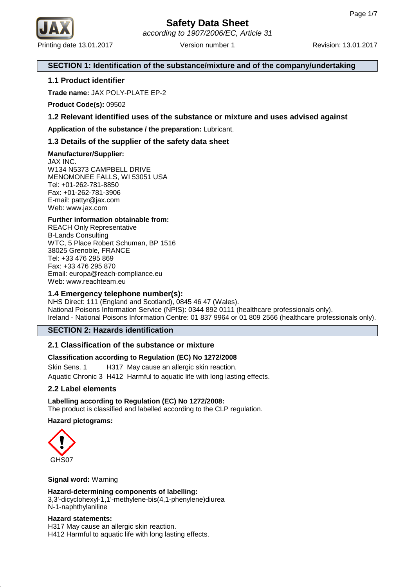

## **SECTION 1: Identification of the substance/mixture and of the company/undertaking**

## **1.1 Product identifier**

**Trade name:** JAX POLY-PLATE EP-2

**Product Code(s):** 09502

## **1.2 Relevant identified uses of the substance or mixture and uses advised against**

**Application of the substance / the preparation:** Lubricant.

## **1.3 Details of the supplier of the safety data sheet**

## **Manufacturer/Supplier:**

JAX INC. W134 N5373 CAMPBELL DRIVE MENOMONEE FALLS, WI 53051 USA Tel: +01-262-781-8850 Fax: +01-262-781-3906 E-mail: pattyr@jax.com Web: www.jax.com

## **Further information obtainable from:**

REACH Only Representative B-Lands Consulting WTC, 5 Place Robert Schuman, BP 1516 38025 Grenoble, FRANCE Tel: +33 476 295 869 Fax: +33 476 295 870 Email: europa@reach-compliance.eu Web: www.reachteam.eu

## **1.4 Emergency telephone number(s):**

NHS Direct: 111 (England and Scotland), 0845 46 47 (Wales). National Poisons Information Service (NPIS): 0344 892 0111 (healthcare professionals only). Ireland - National Poisons Information Centre: 01 837 9964 or 01 809 2566 (healthcare professionals only).

## **SECTION 2: Hazards identification**

## **2.1 Classification of the substance or mixture**

## **Classification according to Regulation (EC) No 1272/2008**

Skin Sens. 1 H317 May cause an allergic skin reaction. Aquatic Chronic 3 H412 Harmful to aquatic life with long lasting effects.

## **2.2 Label elements**

**Labelling according to Regulation (EC) No 1272/2008:** The product is classified and labelled according to the CLP regulation.

## **Hazard pictograms:**



### **Signal word:** Warning

## **Hazard-determining components of labelling:**

3,3'-dicyclohexyl-1,1'-methylene-bis(4,1-phenylene)diurea N-1-naphthylaniline

### **Hazard statements:**

H317 May cause an allergic skin reaction. H412 Harmful to aquatic life with long lasting effects.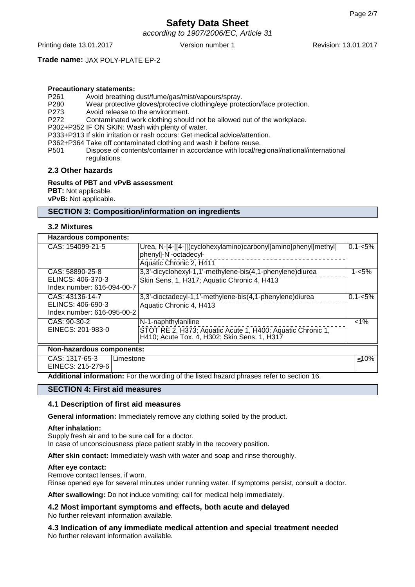according to 1907/2006/EC, Article 31

Printing date 13.01.2017 Version number 1 Revision: 13.01.2017

## **Trade name:** JAX POLY-PLATE EP-2

## **Precautionary statements:**

- P261 Avoid breathing dust/fume/gas/mist/vapours/spray.<br>P280 Wear protective gloves/protective clothing/eve prote
- Wear protective gloves/protective clothing/eye protection/face protection.
- P273 Avoid release to the environment.
- P272 Contaminated work clothing should not be allowed out of the workplace.
- P302+P352 IF ON SKIN: Wash with plenty of water.

P333+P313 If skin irritation or rash occurs: Get medical advice/attention.

P362+P364 Take off contaminated clothing and wash it before reuse.

P501 Dispose of contents/container in accordance with local/regional/national/international regulations.

### **2.3 Other hazards**

### **Results of PBT and vPvB assessment**

**PBT:** Not applicable.

**vPvB:** Not applicable.

### **SECTION 3: Composition/information on ingredients**

### **3.2 Mixtures**

### **Hazardous components:**

| <u>Hazaravas components.</u>                                       |                                                                                                                                   |             |  |  |
|--------------------------------------------------------------------|-----------------------------------------------------------------------------------------------------------------------------------|-------------|--|--|
| CAS: 154099-21-5                                                   | Urea, N-[4-[[4-[[(cyclohexylamino)carbonyl]amino]phenyl]methyl]<br>phenyl]-N'-octadecyl-<br>Aquatic Chronic 2, H411               | $0.1 - 5%$  |  |  |
| CAS: 58890-25-8<br>ELINCS: 406-370-3<br>Index number: 616-094-00-7 | 3,3'-dicyclohexyl-1,1'-methylene-bis(4,1-phenylene)diurea<br>Skin Sens. 1, H317; Aquatic Chronic 4, H413                          | $1 - 5%$    |  |  |
| CAS: 43136-14-7<br>ELINCS: 406-690-3<br>Index number: 616-095-00-2 | 3,3'-dioctadecyl-1,1'-methylene-bis(4,1-phenylene)diurea<br>Aquatic Chronic 4, H413                                               | $0.1 - 5\%$ |  |  |
| CAS: 90-30-2<br>EINECS: 201-983-0                                  | N-1-naphthylaniline<br>STOT RE 2, H373; Aquatic Acute 1, H400; Aquatic Chronic 1,<br>H410; Acute Tox. 4, H302; Skin Sens. 1, H317 | $< 1\%$     |  |  |
| Non-hazardous components:                                          |                                                                                                                                   |             |  |  |
| CAS: 1317-65-3<br>Limestone<br>EINECS: 215-279-6                   |                                                                                                                                   | $≤10%$      |  |  |

**Additional information:** For the wording of the listed hazard phrases refer to section 16.

#### **SECTION 4: First aid measures**

### **4.1 Description of first aid measures**

**General information:** Immediately remove any clothing soiled by the product.

#### **After inhalation:**

Supply fresh air and to be sure call for a doctor. In case of unconsciousness place patient stably in the recovery position.

**After skin contact:** Immediately wash with water and soap and rinse thoroughly.

#### **After eye contact:**

Remove contact lenses, if worn.

Rinse opened eye for several minutes under running water. If symptoms persist, consult a doctor.

**After swallowing:** Do not induce vomiting; call for medical help immediately.

**4.2 Most important symptoms and effects, both acute and delayed** No further relevant information available.

**4.3 Indication of any immediate medical attention and special treatment needed** No further relevant information available.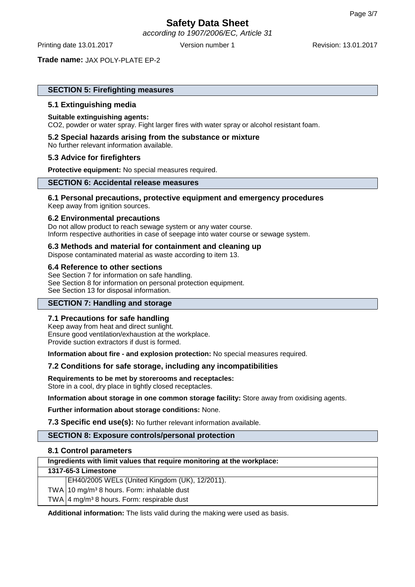according to 1907/2006/EC, Article 31

Printing date 13.01.2017 Version number 1 Revision: 13.01.2017

**Trade name:** JAX POLY-PLATE EP-2

## **SECTION 5: Firefighting measures**

### **5.1 Extinguishing media**

### **Suitable extinguishing agents:**

CO2, powder or water spray. Fight larger fires with water spray or alcohol resistant foam.

### **5.2 Special hazards arising from the substance or mixture**

No further relevant information available.

### **5.3 Advice for firefighters**

**Protective equipment:** No special measures required.

## **SECTION 6: Accidental release measures**

### **6.1 Personal precautions, protective equipment and emergency procedures** Keep away from ignition sources.

### **6.2 Environmental precautions**

Do not allow product to reach sewage system or any water course. Inform respective authorities in case of seepage into water course or sewage system.

### **6.3 Methods and material for containment and cleaning up**

Dispose contaminated material as waste according to item 13.

### **6.4 Reference to other sections**

See Section 7 for information on safe handling. See Section 8 for information on personal protection equipment. See Section 13 for disposal information.

## **SECTION 7: Handling and storage**

### **7.1 Precautions for safe handling**

Keep away from heat and direct sunlight. Ensure good ventilation/exhaustion at the workplace. Provide suction extractors if dust is formed.

**Information about fire - and explosion protection:** No special measures required.

### **7.2 Conditions for safe storage, including any incompatibilities**

### **Requirements to be met by storerooms and receptacles:** Store in a cool, dry place in tightly closed receptacles.

**Information about storage in one common storage facility:** Store away from oxidising agents.

**Further information about storage conditions:** None.

**7.3 Specific end use(s):** No further relevant information available.

## **SECTION 8: Exposure controls/personal protection**

### **8.1 Control parameters**

**Ingredients with limit values that require monitoring at the workplace:**

## **1317-65-3 Limestone**

EH40/2005 WELs (United Kingdom (UK), 12/2011).

TWA 10 mg/m<sup>3</sup> 8 hours. Form: inhalable dust

TWA  $\frac{4 \text{ mg}}{m^3}$  8 hours. Form: respirable dust

**Additional information:** The lists valid during the making were used as basis.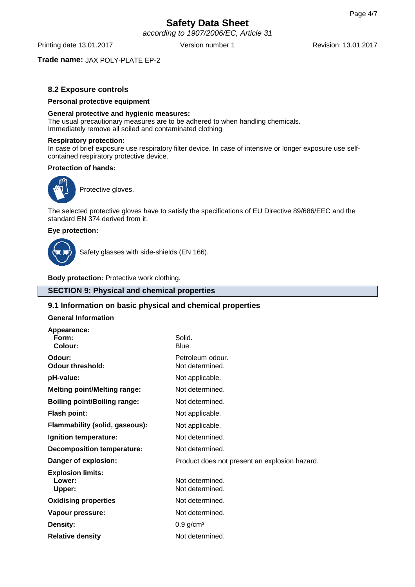according to 1907/2006/EC, Article 31

Printing date 13.01.2017 **Version number 1** Revision: 13.01.2017

## **Trade name:** JAX POLY-PLATE EP-2

## **8.2 Exposure controls**

### **Personal protective equipment**

### **General protective and hygienic measures:**

The usual precautionary measures are to be adhered to when handling chemicals. Immediately remove all soiled and contaminated clothing

### **Respiratory protection:**

In case of brief exposure use respiratory filter device. In case of intensive or longer exposure use selfcontained respiratory protective device.

### **Protection of hands:**



Protective gloves.

The selected protective gloves have to satisfy the specifications of EU Directive 89/686/EEC and the standard EN 374 derived from it.

### **Eye protection:**



Safety glasses with side-shields (EN 166).

**Body protection:** Protective work clothing.

## **SECTION 9: Physical and chemical properties**

## **9.1 Information on basic physical and chemical properties**

### **General Information**

| Appearance:<br>Form:<br>Colour:              | Solid.<br>Blue.                               |  |
|----------------------------------------------|-----------------------------------------------|--|
| Odour:<br><b>Odour threshold:</b>            | Petroleum odour.<br>Not determined.           |  |
| pH-value:                                    | Not applicable.                               |  |
| <b>Melting point/Melting range:</b>          | Not determined.                               |  |
| <b>Boiling point/Boiling range:</b>          | Not determined.                               |  |
| <b>Flash point:</b>                          | Not applicable.                               |  |
| Flammability (solid, gaseous):               | Not applicable.                               |  |
| Ignition temperature:                        | Not determined.                               |  |
| <b>Decomposition temperature:</b>            | Not determined.                               |  |
| Danger of explosion:                         | Product does not present an explosion hazard. |  |
| <b>Explosion limits:</b><br>Lower:<br>Upper: | Not determined.<br>Not determined.            |  |
| <b>Oxidising properties</b>                  | Not determined.                               |  |
| Vapour pressure:                             | Not determined.                               |  |
| Density:                                     | $0.9$ g/cm <sup>3</sup>                       |  |
| <b>Relative density</b>                      | Not determined.                               |  |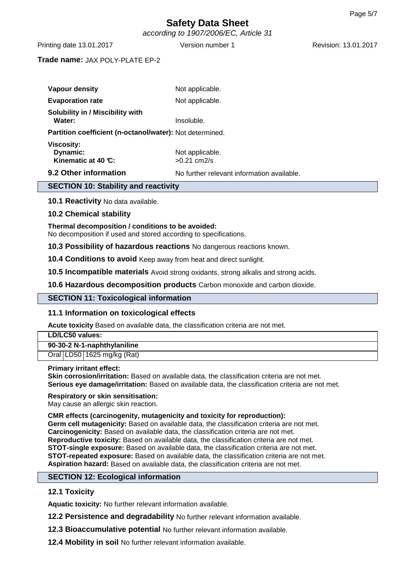according to 1907/2006/EC, Article 31

Printing date 13.01.2017 Version number 1 Revision: 13.01.2017

## **Trade name:** JAX POLY-PLATE EP-2

| <b>SECTION 10: Stability and reactivity</b>              |                                            |  |  |  |
|----------------------------------------------------------|--------------------------------------------|--|--|--|
| 9.2 Other information                                    | No further relevant information available. |  |  |  |
| <b>Viscosity:</b><br>Dynamic:<br>Kinematic at 40 $C$ :   | Not applicable.<br>$>0.21$ cm $2/s$        |  |  |  |
| Partition coefficient (n-octanol/water): Not determined. |                                            |  |  |  |
| <b>Solubility in / Miscibility with</b><br>Water:        | Insoluble.                                 |  |  |  |
| <b>Evaporation rate</b>                                  | Not applicable.                            |  |  |  |
| Vapour density                                           | Not applicable.                            |  |  |  |
|                                                          |                                            |  |  |  |

**10.1 Reactivity** No data available.

## **10.2 Chemical stability**

### **Thermal decomposition / conditions to be avoided:** No decomposition if used and stored according to specifications.

**10.3 Possibility of hazardous reactions** No dangerous reactions known.

**10.4 Conditions to avoid** Keep away from heat and direct sunlight.

**10.5 Incompatible materials** Avoid strong oxidants, strong alkalis and strong acids.

**10.6 Hazardous decomposition products** Carbon monoxide and carbon dioxide.

## **SECTION 11: Toxicological information**

## **11.1 Information on toxicological effects**

**Acute toxicity** Based on available data, the classification criteria are not met.

| LD/LC50 values:             |  |  |
|-----------------------------|--|--|
| 90-30-2 N-1-naphthylaniline |  |  |
| Oral LD50 1625 mg/kg (Rat)  |  |  |
| Balaceae lasteret effect:   |  |  |

### **Primary irritant effect:**

**Skin corrosion/irritation:** Based on available data, the classification criteria are not met. **Serious eye damage/irritation:** Based on available data, the classification criteria are not met.

### **Respiratory or skin sensitisation:**

May cause an allergic skin reaction.

## **CMR effects (carcinogenity, mutagenicity and toxicity for reproduction):**

**Germ cell mutagenicity:** Based on available data, the classification criteria are not met. **Carcinogenicity:** Based on available data, the classification criteria are not met. **Reproductive toxicity:** Based on available data, the classification criteria are not met. **STOT-single exposure:** Based on available data, the classification criteria are not met. **STOT-repeated exposure:** Based on available data, the classification criteria are not met. **Aspiration hazard:** Based on available data, the classification criteria are not met.

### **SECTION 12: Ecological information**

## **12.1 Toxicity**

**Aquatic toxicity:** No further relevant information available.

**12.2 Persistence and degradability** No further relevant information available.

**12.3 Bioaccumulative potential** No further relevant information available.

**12.4 Mobility in soil** No further relevant information available.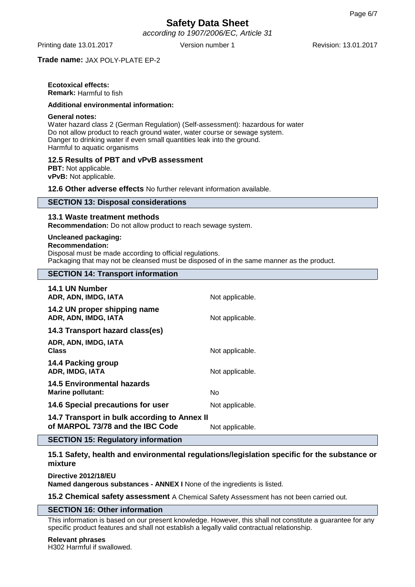according to 1907/2006/EC, Article 31

Printing date 13.01.2017 Version number 1 Revision: 13.01.2017

## **Trade name:** JAX POLY-PLATE EP-2

## **Ecotoxical effects:**

**Remark:** Harmful to fish

## **Additional environmental information:**

#### **General notes:**

Water hazard class 2 (German Regulation) (Self-assessment): hazardous for water Do not allow product to reach ground water, water course or sewage system. Danger to drinking water if even small quantities leak into the ground. Harmful to aquatic organisms

## **12.5 Results of PBT and vPvB assessment**

**PBT:** Not applicable. **vPvB:** Not applicable.

**12.6 Other adverse effects** No further relevant information available.

### **SECTION 13: Disposal considerations**

## **13.1 Waste treatment methods**

**Recommendation:** Do not allow product to reach sewage system.

## **Uncleaned packaging:**

#### **Recommendation:**

Disposal must be made according to official regulations.

Packaging that may not be cleansed must be disposed of in the same manner as the product.

## **SECTION 14: Transport information**

| 14.1 UN Number<br>ADR, ADN, IMDG, IATA                                           | Not applicable. |
|----------------------------------------------------------------------------------|-----------------|
| 14.2 UN proper shipping name<br>ADR, ADN, IMDG, IATA                             | Not applicable. |
| 14.3 Transport hazard class(es)                                                  |                 |
| ADR, ADN, IMDG, IATA<br><b>Class</b>                                             | Not applicable. |
| 14.4 Packing group<br>ADR, IMDG, IATA                                            | Not applicable. |
| 14.5 Environmental hazards<br>Marine pollutant:                                  | No              |
| 14.6 Special precautions for user                                                | Not applicable. |
| 14.7 Transport in bulk according to Annex II<br>of MARPOL 73/78 and the IBC Code | Not applicable. |

## **SECTION 15: Regulatory information**

**15.1 Safety, health and environmental regulations/legislation specific for the substance or mixture**

**Directive 2012/18/EU Named dangerous substances - ANNEX I** None of the ingredients is listed.

**15.2 Chemical safety assessment** A Chemical Safety Assessment has not been carried out.

### **SECTION 16: Other information**

This information is based on our present knowledge. However, this shall not constitute a guarantee for any specific product features and shall not establish a legally valid contractual relationship.

**Relevant phrases** H302 Harmful if swallowed.